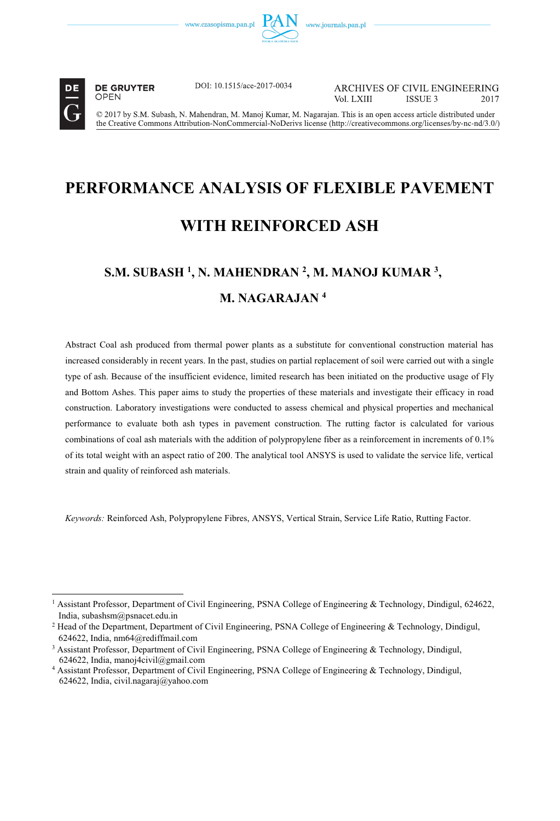



 $\overline{a}$ 

**DE GRUYTER OPEN** 

DOI: 10.1515/ace-2017-0034

**ARCHIVES OF CIVIL ENGINEERING** Vol LXIII ISSUE 3 2017

© 2017 by S.M. Subash, N. Mahendran, M. Manoj Kumar, M. Nagarajan. This is an open access article distributed under the Creative Commons Attribution-NonCommercial-NoDerivs license (http://creativecommons.org/licenses/by-nc-nd/3.0/)

# **PERFORMANCE ANALYSIS OF FLEXIBLE PAVEMENT WITH REINFORCED ASH**

# **S.M. SUBASH 1 , N. MAHENDRAN 2 , M. MANOJ KUMAR 3 , M. NAGARAJAN 4**

Abstract Coal ash produced from thermal power plants as a substitute for conventional construction material has increased considerably in recent years. In the past, studies on partial replacement of soil were carried out with a single type of ash. Because of the insufficient evidence, limited research has been initiated on the productive usage of Fly and Bottom Ashes. This paper aims to study the properties of these materials and investigate their efficacy in road construction. Laboratory investigations were conducted to assess chemical and physical properties and mechanical performance to evaluate both ash types in pavement construction. The rutting factor is calculated for various combinations of coal ash materials with the addition of polypropylene fiber as a reinforcement in increments of 0.1% of its total weight with an aspect ratio of 200. The analytical tool ANSYS is used to validate the service life, vertical strain and quality of reinforced ash materials.

*Keywords:* Reinforced Ash, Polypropylene Fibres, ANSYS, Vertical Strain, Service Life Ratio, Rutting Factor.

<sup>&</sup>lt;sup>1</sup> Assistant Professor, Department of Civil Engineering, PSNA College of Engineering & Technology, Dindigul, 624622, India, subashsm@psnacet.edu.in

<sup>&</sup>lt;sup>2</sup> Head of the Department, Department of Civil Engineering, PSNA College of Engineering & Technology, Dindigul, 624622, India, nm64@rediffmail.com

<sup>&</sup>lt;sup>3</sup> Assistant Professor, Department of Civil Engineering, PSNA College of Engineering & Technology, Dindigul, 624622, India, manoj4civil@gmail.com

<sup>4</sup> Assistant Professor, Department of Civil Engineering, PSNA College of Engineering & Technology, Dindigul, 624622, India, civil.nagaraj@yahoo.com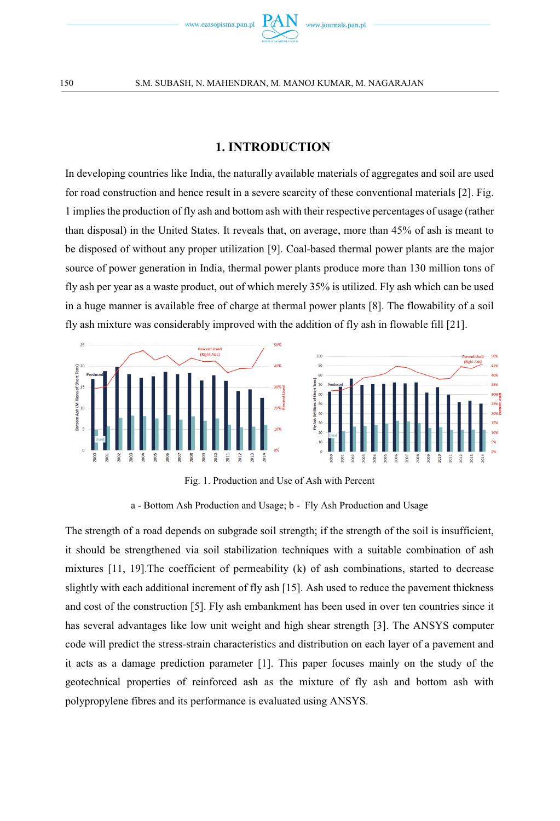

#### **1. INTRODUCTION**

In developing countries like India, the naturally available materials of aggregates and soil are used for road construction and hence result in a severe scarcity of these conventional materials [2]. Fig. 1 implies the production of fly ash and bottom ash with their respective percentages of usage (rather than disposal) in the United States. It reveals that, on average, more than 45% of ash is meant to be disposed of without any proper utilization [9]. Coal-based thermal power plants are the major source of power generation in India, thermal power plants produce more than 130 million tons of fly ash per year as a waste product, out of which merely 35% is utilized. Fly ash which can be used in a huge manner is available free of charge at thermal power plants [8]. The flowability of a soil fly ash mixture was considerably improved with the addition of fly ash in flowable fill [21].





Fig. 1. Production and Use of Ash with Percent

a - Bottom Ash Production and Usage; b - Fly Ash Production and Usage

The strength of a road depends on subgrade soil strength; if the strength of the soil is insufficient, it should be strengthened via soil stabilization techniques with a suitable combination of ash mixtures [11, 19].The coefficient of permeability (k) of ash combinations, started to decrease slightly with each additional increment of fly ash [15]. Ash used to reduce the pavement thickness and cost of the construction [5]. Fly ash embankment has been used in over ten countries since it has several advantages like low unit weight and high shear strength [3]. The ANSYS computer code will predict the stress-strain characteristics and distribution on each layer of a pavement and it acts as a damage prediction parameter [1]. This paper focuses mainly on the study of the geotechnical properties of reinforced ash as the mixture of fly ash and bottom ash with polypropylene fibres and its performance is evaluated using ANSYS.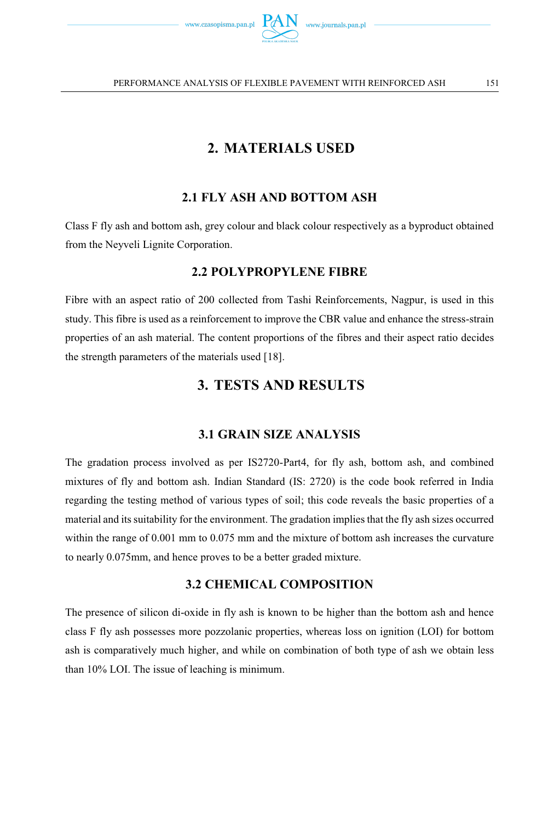

# **2. MATERIALS USED**

#### **2.1 FLY ASH AND BOTTOM ASH**

Class F fly ash and bottom ash, grey colour and black colour respectively as a byproduct obtained from the Neyveli Lignite Corporation.

#### **2.2 POLYPROPYLENE FIBRE**

Fibre with an aspect ratio of 200 collected from Tashi Reinforcements, Nagpur, is used in this study. This fibre is used as a reinforcement to improve the CBR value and enhance the stress-strain properties of an ash material. The content proportions of the fibres and their aspect ratio decides the strength parameters of the materials used [18].

# **3. TESTS AND RESULTS**

#### **3.1 GRAIN SIZE ANALYSIS**

The gradation process involved as per IS2720-Part4, for fly ash, bottom ash, and combined mixtures of fly and bottom ash. Indian Standard (IS: 2720) is the code book referred in India regarding the testing method of various types of soil; this code reveals the basic properties of a material and its suitability for the environment. The gradation implies that the fly ash sizes occurred within the range of 0.001 mm to 0.075 mm and the mixture of bottom ash increases the curvature to nearly 0.075mm, and hence proves to be a better graded mixture.

#### **3.2 CHEMICAL COMPOSITION**

The presence of silicon di-oxide in fly ash is known to be higher than the bottom ash and hence class F fly ash possesses more pozzolanic properties, whereas loss on ignition (LOI) for bottom ash is comparatively much higher, and while on combination of both type of ash we obtain less than 10% LOI. The issue of leaching is minimum.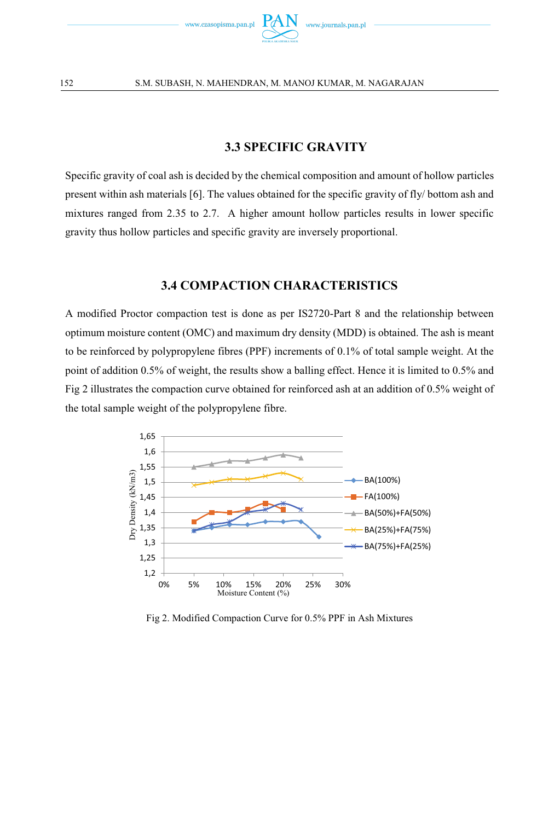

### **3.3 SPECIFIC GRAVITY**

Specific gravity of coal ash is decided by the chemical composition and amount of hollow particles present within ash materials [6]. The values obtained for the specific gravity of fly/ bottom ash and mixtures ranged from 2.35 to 2.7. A higher amount hollow particles results in lower specific gravity thus hollow particles and specific gravity are inversely proportional.

#### **3.4 COMPACTION CHARACTERISTICS**

A modified Proctor compaction test is done as per IS2720-Part 8 and the relationship between optimum moisture content (OMC) and maximum dry density (MDD) is obtained. The ash is meant to be reinforced by polypropylene fibres (PPF) increments of 0.1% of total sample weight. At the point of addition 0.5% of weight, the results show a balling effect. Hence it is limited to 0.5% and Fig 2 illustrates the compaction curve obtained for reinforced ash at an addition of 0.5% weight of the total sample weight of the polypropylene fibre.



Fig 2. Modified Compaction Curve for 0.5% PPF in Ash Mixtures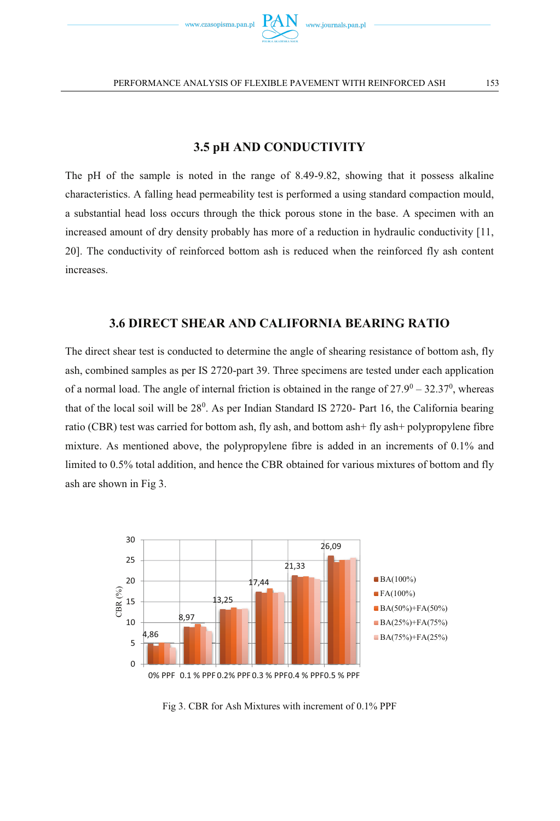

# **3.5 pH AND CONDUCTIVITY**

The pH of the sample is noted in the range of 8.49-9.82, showing that it possess alkaline characteristics. A falling head permeability test is performed a using standard compaction mould, a substantial head loss occurs through the thick porous stone in the base. A specimen with an increased amount of dry density probably has more of a reduction in hydraulic conductivity [11, 20]. The conductivity of reinforced bottom ash is reduced when the reinforced fly ash content increases.

## **3.6 DIRECT SHEAR AND CALIFORNIA BEARING RATIO**

The direct shear test is conducted to determine the angle of shearing resistance of bottom ash, fly ash, combined samples as per IS 2720-part 39. Three specimens are tested under each application of a normal load. The angle of internal friction is obtained in the range of  $27.9^0 - 32.37^0$ , whereas that of the local soil will be 28<sup>0</sup>. As per Indian Standard IS 2720- Part 16, the California bearing ratio (CBR) test was carried for bottom ash, fly ash, and bottom ash+ fly ash+ polypropylene fibre mixture. As mentioned above, the polypropylene fibre is added in an increments of 0.1% and limited to 0.5% total addition, and hence the CBR obtained for various mixtures of bottom and fly ash are shown in Fig 3.



Fig 3. CBR for Ash Mixtures with increment of 0.1% PPF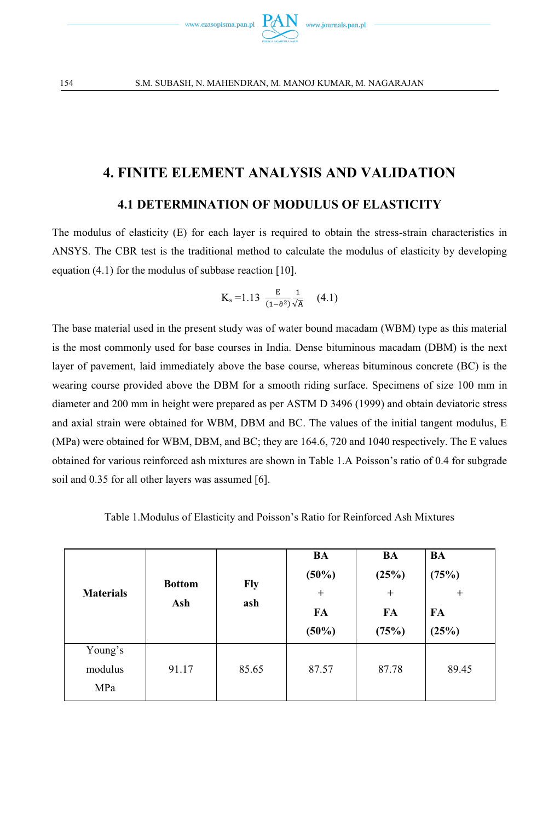

154 S.M. SUBASH, N. MAHENDRAN, M. MANOJ KUMAR, M. NAGARAJAN

# **4. FINITE ELEMENT ANALYSIS AND VALIDATION**

#### **4.1 DETERMINATION OF MODULUS OF ELASTICITY**

The modulus of elasticity (E) for each layer is required to obtain the stress-strain characteristics in ANSYS. The CBR test is the traditional method to calculate the modulus of elasticity by developing equation (4.1) for the modulus of subbase reaction [10].

$$
K_s\!=\!1.13\ \frac{E}{(1\!-\!\vartheta^2)}\frac{1}{\sqrt{A}}\quad (4.1)
$$

The base material used in the present study was of water bound macadam (WBM) type as this material is the most commonly used for base courses in India. Dense bituminous macadam (DBM) is the next layer of pavement, laid immediately above the base course, whereas bituminous concrete (BC) is the wearing course provided above the DBM for a smooth riding surface. Specimens of size 100 mm in diameter and 200 mm in height were prepared as per ASTM D 3496 (1999) and obtain deviatoric stress and axial strain were obtained for WBM, DBM and BC. The values of the initial tangent modulus, E (MPa) were obtained for WBM, DBM, and BC; they are 164.6, 720 and 1040 respectively. The E values obtained for various reinforced ash mixtures are shown in Table 1.A Poisson's ratio of 0.4 for subgrade soil and 0.35 for all other layers was assumed [6].

Table 1.Modulus of Elasticity and Poisson's Ratio for Reinforced Ash Mixtures

| <b>Materials</b>          | <b>Bottom</b><br>Ash | Fly<br>ash | BA<br>$(50\%)$<br>$^{+}$<br>FA<br>$(50\%)$ | BA<br>(25%)<br>$^{+}$<br>FA<br>(75%) | BA<br>(75%)<br>$\ddot{}$<br>FA<br>(25%) |
|---------------------------|----------------------|------------|--------------------------------------------|--------------------------------------|-----------------------------------------|
| Young's<br>modulus<br>MPa | 91.17                | 85.65      | 87.57                                      | 87.78                                | 89.45                                   |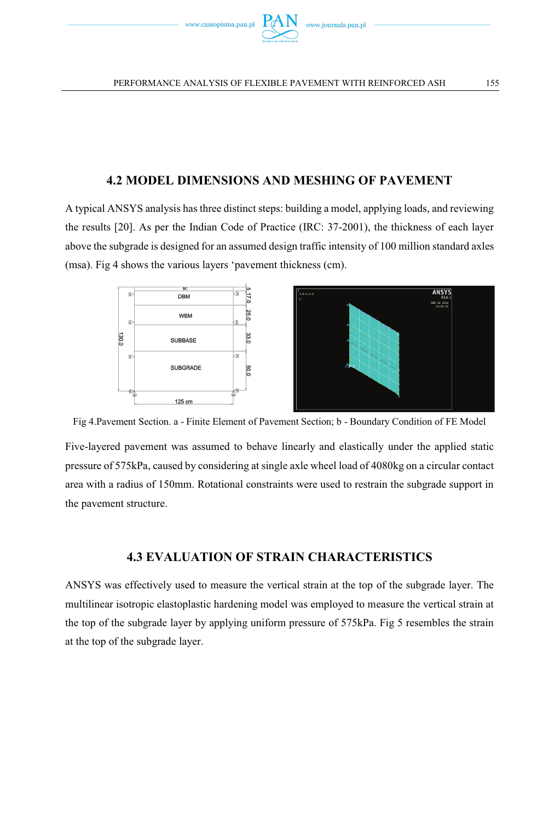

#### **4.2 MODEL DIMENSIONS AND MESHING OF PAVEMENT**

A typical ANSYS analysis has three distinct steps: building a model, applying loads, and reviewing the results [20]. As per the Indian Code of Practice (IRC: 37-2001), the thickness of each layer above the subgrade is designed for an assumed design traffic intensity of 100 million standard axles (msa). Fig 4 shows the various layers 'pavement thickness (cm).



Fig 4.Pavement Section. a - Finite Element of Pavement Section; b - Boundary Condition of FE Model

Five-layered pavement was assumed to behave linearly and elastically under the applied static pressure of 575kPa, caused by considering at single axle wheel load of 4080kg on a circular contact area with a radius of 150mm. Rotational constraints were used to restrain the subgrade support in the pavement structure.

#### **4.3 EVALUATION OF STRAIN CHARACTERISTICS**

ANSYS was effectively used to measure the vertical strain at the top of the subgrade layer. The multilinear isotropic elastoplastic hardening model was employed to measure the vertical strain at the top of the subgrade layer by applying uniform pressure of 575kPa. Fig 5 resembles the strain at the top of the subgrade layer.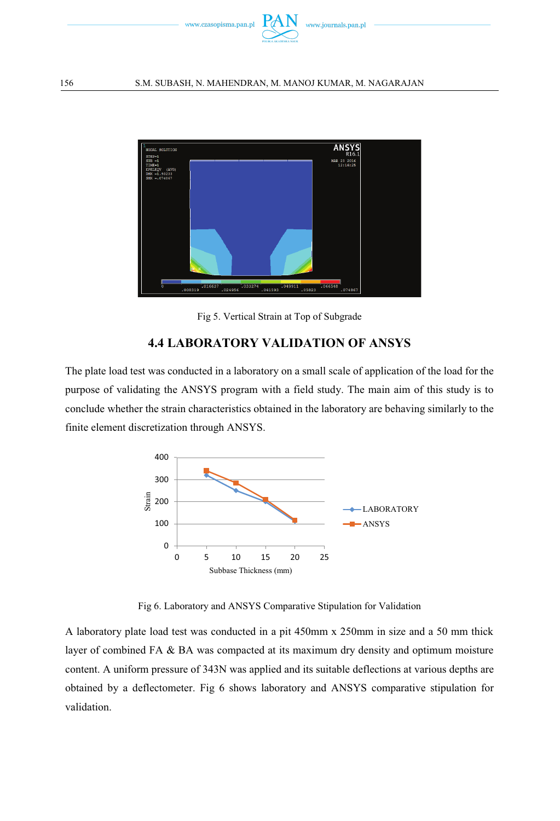

#### 156 S.M. SUBASH, N. MAHENDRAN, M. MANOJ KUMAR, M. NAGARAJAN



Fig 5. Vertical Strain at Top of Subgrade

## **4.4 LABORATORY VALIDATION OF ANSYS**

The plate load test was conducted in a laboratory on a small scale of application of the load for the purpose of validating the ANSYS program with a field study. The main aim of this study is to conclude whether the strain characteristics obtained in the laboratory are behaving similarly to the finite element discretization through ANSYS.



Fig 6. Laboratory and ANSYS Comparative Stipulation for Validation

A laboratory plate load test was conducted in a pit 450mm x 250mm in size and a 50 mm thick layer of combined FA & BA was compacted at its maximum dry density and optimum moisture content. A uniform pressure of 343N was applied and its suitable deflections at various depths are obtained by a deflectometer. Fig 6 shows laboratory and ANSYS comparative stipulation for validation.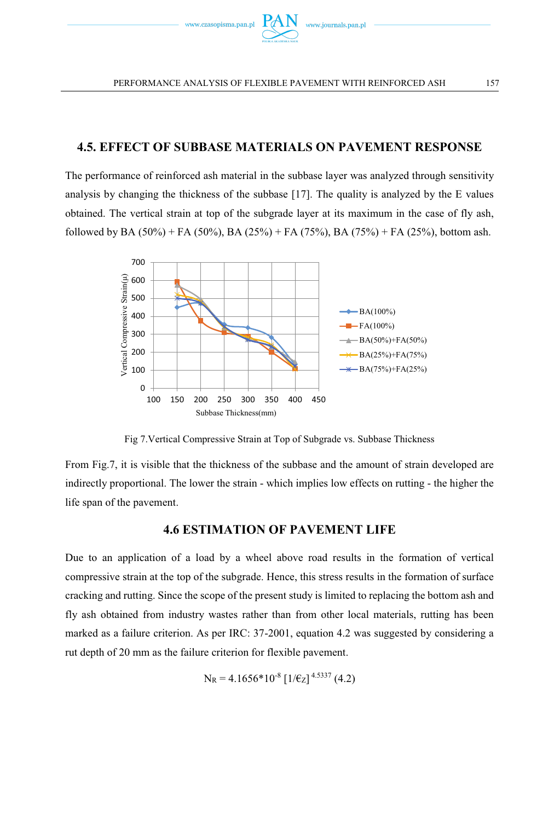

#### **4.5. EFFECT OF SUBBASE MATERIALS ON PAVEMENT RESPONSE**

The performance of reinforced ash material in the subbase layer was analyzed through sensitivity analysis by changing the thickness of the subbase [17]. The quality is analyzed by the E values obtained. The vertical strain at top of the subgrade layer at its maximum in the case of fly ash, followed by BA (50%) + FA (50%), BA (25%) + FA (75%), BA (75%) + FA (25%), bottom ash.



Fig 7.Vertical Compressive Strain at Top of Subgrade vs. Subbase Thickness

From Fig.7, it is visible that the thickness of the subbase and the amount of strain developed are indirectly proportional. The lower the strain - which implies low effects on rutting - the higher the life span of the pavement.

#### **4.6 ESTIMATION OF PAVEMENT LIFE**

Due to an application of a load by a wheel above road results in the formation of vertical compressive strain at the top of the subgrade. Hence, this stress results in the formation of surface cracking and rutting. Since the scope of the present study is limited to replacing the bottom ash and fly ash obtained from industry wastes rather than from other local materials, rutting has been marked as a failure criterion. As per IRC: 37-2001, equation 4.2 was suggested by considering a rut depth of 20 mm as the failure criterion for flexible pavement.

$$
N_R = 4.1656*10^8 \left[1/\varepsilon_Z\right]^{4.5337} (4.2)
$$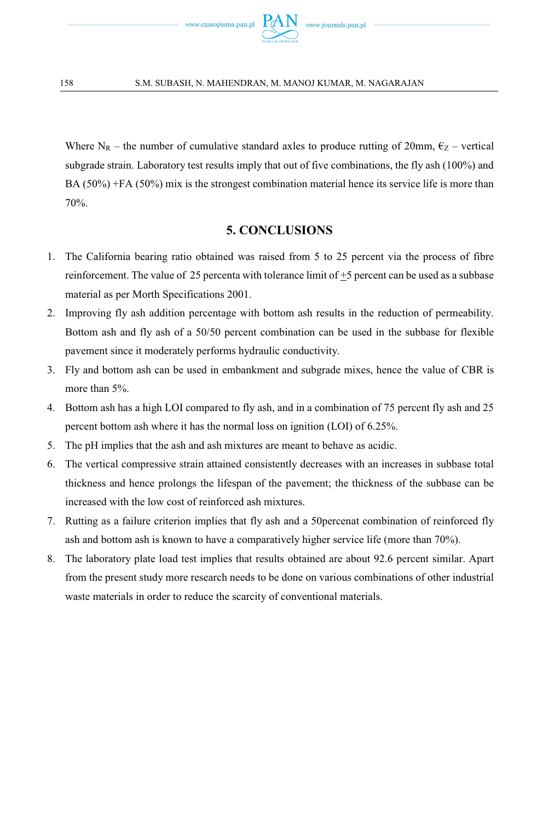

Where N<sub>R</sub> – the number of cumulative standard axles to produce rutting of 20mm,  $\epsilon_Z$  – vertical subgrade strain. Laboratory test results imply that out of five combinations, the fly ash (100%) and BA (50%) +FA (50%) mix is the strongest combination material hence its service life is more than 70%.

#### **5. CONCLUSIONS**

- 1. The California bearing ratio obtained was raised from 5 to 25 percent via the process of fibre reinforcement. The value of 25 percenta with tolerance limit of  $\pm$ 5 percent can be used as a subbase material as per Morth Specifications 2001.
- 2. Improving fly ash addition percentage with bottom ash results in the reduction of permeability. Bottom ash and fly ash of a 50/50 percent combination can be used in the subbase for flexible pavement since it moderately performs hydraulic conductivity.
- 3. Fly and bottom ash can be used in embankment and subgrade mixes, hence the value of CBR is more than 5%.
- 4. Bottom ash has a high LOI compared to fly ash, and in a combination of 75 percent fly ash and 25 percent bottom ash where it has the normal loss on ignition (LOI) of 6.25%.
- 5. The pH implies that the ash and ash mixtures are meant to behave as acidic.
- 6. The vertical compressive strain attained consistently decreases with an increases in subbase total thickness and hence prolongs the lifespan of the pavement; the thickness of the subbase can be increased with the low cost of reinforced ash mixtures.
- 7. Rutting as a failure criterion implies that fly ash and a 50percenat combination of reinforced fly ash and bottom ash is known to have a comparatively higher service life (more than 70%).
- 8. The laboratory plate load test implies that results obtained are about 92.6 percent similar. Apart from the present study more research needs to be done on various combinations of other industrial waste materials in order to reduce the scarcity of conventional materials.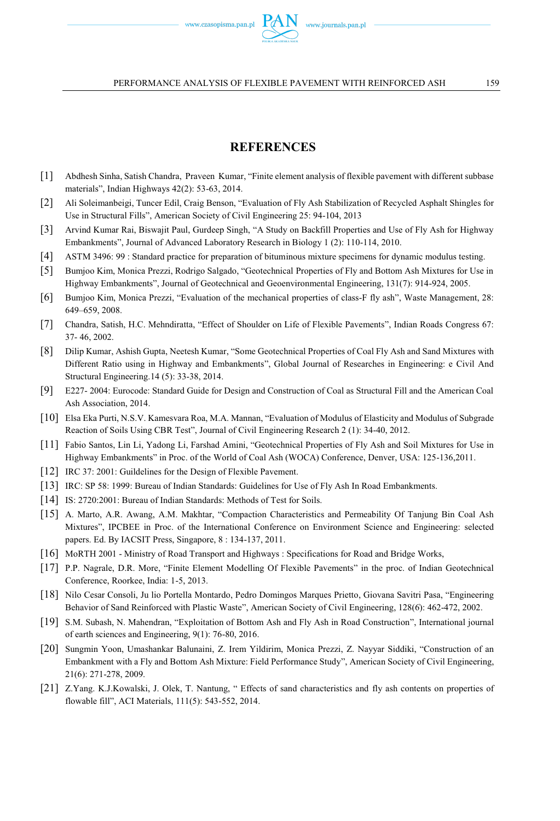#### **REFERENCES**

- [1] Abdhesh Sinha, Satish Chandra, Praveen Kumar, "Finite element analysis of flexible pavement with different subbase materials", Indian Highways 42(2): 53-63, 2014.
- [2] Ali Soleimanbeigi, Tuncer Edil, Craig Benson, "Evaluation of Fly Ash Stabilization of Recycled Asphalt Shingles for Use in Structural Fills", American Society of Civil Engineering 25: 94-104, 2013
- [3] Arvind Kumar Rai, Biswajit Paul, Gurdeep Singh, "A Study on Backfill Properties and Use of Fly Ash for Highway Embankments", Journal of Advanced Laboratory Research in Biology 1 (2): 110-114, 2010.
- [4] ASTM 3496: 99 : Standard practice for preparation of bituminous mixture specimens for dynamic modulus testing.
- [5] Bumjoo Kim, Monica Prezzi, Rodrigo Salgado, "Geotechnical Properties of Fly and Bottom Ash Mixtures for Use in Highway Embankments", Journal of Geotechnical and Geoenvironmental Engineering, 131(7): 914-924, 2005.
- [6] Bumjoo Kim, Monica Prezzi, "Evaluation of the mechanical properties of class-F fly ash", Waste Management, 28: 649–659, 2008.
- [7] Chandra, Satish, H.C. Mehndiratta, "Effect of Shoulder on Life of Flexible Pavements", Indian Roads Congress 67: 37- 46, 2002.
- [8] Dilip Kumar, Ashish Gupta, Neetesh Kumar, "Some Geotechnical Properties of Coal Fly Ash and Sand Mixtures with Different Ratio using in Highway and Embankments", Global Journal of Researches in Engineering: e Civil And Structural Engineering.14 (5): 33-38, 2014.
- [9] E227- 2004: Eurocode: Standard Guide for Design and Construction of Coal as Structural Fill and the American Coal Ash Association, 2014.
- [10] Elsa Eka Purti, N.S.V. Kamesvara Roa, M.A. Mannan, "Evaluation of Modulus of Elasticity and Modulus of Subgrade Reaction of Soils Using CBR Test", Journal of Civil Engineering Research 2 (1): 34-40, 2012.
- [11] Fabio Santos, Lin Li, Yadong Li, Farshad Amini, "Geotechnical Properties of Fly Ash and Soil Mixtures for Use in Highway Embankments" in Proc. of the World of Coal Ash (WOCA) Conference, Denver, USA: 125-136,2011.
- [12] IRC 37: 2001: Guildelines for the Design of Flexible Pavement.
- [13] IRC: SP 58: 1999: Bureau of Indian Standards: Guidelines for Use of Fly Ash In Road Embankments.
- [14] IS: 2720:2001: Bureau of Indian Standards: Methods of Test for Soils.
- [15] A. Marto, A.R. Awang, A.M. Makhtar, "Compaction Characteristics and Permeability Of Tanjung Bin Coal Ash Mixtures", IPCBEE in Proc. of the International Conference on Environment Science and Engineering: selected papers. Ed. By IACSIT Press, Singapore, 8 : 134-137, 2011.
- [16] MoRTH 2001 Ministry of Road Transport and Highways : Specifications for Road and Bridge Works,
- [17] P.P. Nagrale, D.R. More, "Finite Element Modelling Of Flexible Pavements" in the proc. of Indian Geotechnical Conference, Roorkee, India: 1-5, 2013.
- [18] Nilo Cesar Consoli, Ju lio Portella Montardo, Pedro Domingos Marques Prietto, Giovana Savitri Pasa, "Engineering Behavior of Sand Reinforced with Plastic Waste", American Society of Civil Engineering, 128(6): 462-472, 2002.
- [19] S.M. Subash, N. Mahendran, "Exploitation of Bottom Ash and Fly Ash in Road Construction", International journal of earth sciences and Engineering, 9(1): 76-80, 2016.
- [20] Sungmin Yoon, Umashankar Balunaini, Z. Irem Yildirim, Monica Prezzi, Z. Nayyar Siddiki, "Construction of an Embankment with a Fly and Bottom Ash Mixture: Field Performance Study", American Society of Civil Engineering, 21(6): 271-278, 2009.
- [21] Z.Yang. K.J.Kowalski, J. Olek, T. Nantung, " Effects of sand characteristics and fly ash contents on properties of flowable fill", ACI Materials, 111(5): 543-552, 2014.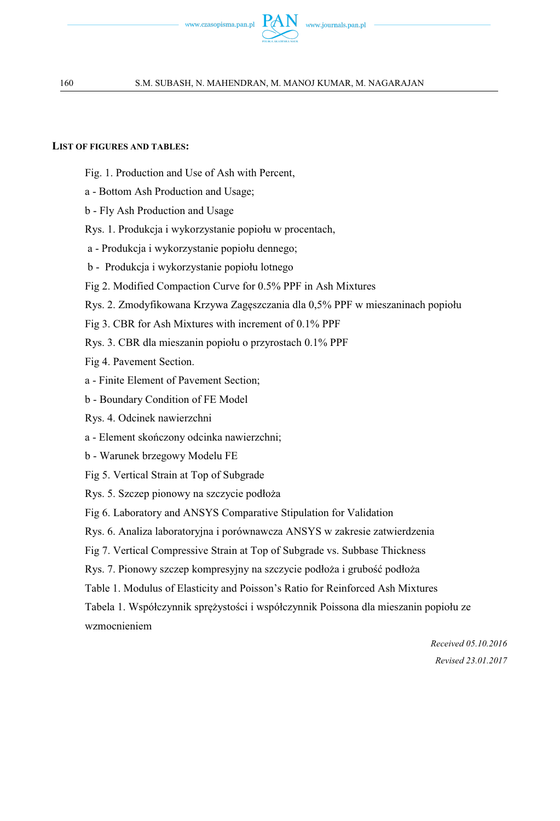

#### **LIST OF FIGURES AND TABLES:**

- Fig. 1. Production and Use of Ash with Percent,
- a Bottom Ash Production and Usage;
- b Fly Ash Production and Usage
- Rys. 1. Produkcja i wykorzystanie popiołu w procentach,
- a Produkcja i wykorzystanie popiołu dennego;
- b Produkcja i wykorzystanie popiołu lotnego
- Fig 2. Modified Compaction Curve for 0.5% PPF in Ash Mixtures
- Rys. 2. Zmodyfikowana Krzywa Zagęszczania dla 0,5% PPF w mieszaninach popiołu
- Fig 3. CBR for Ash Mixtures with increment of 0.1% PPF
- Rys. 3. CBR dla mieszanin popiołu o przyrostach 0.1% PPF
- Fig 4. Pavement Section.
- a Finite Element of Pavement Section;
- b Boundary Condition of FE Model
- Rys. 4. Odcinek nawierzchni
- a Element skończony odcinka nawierzchni;
- b Warunek brzegowy Modelu FE
- Fig 5. Vertical Strain at Top of Subgrade
- Rys. 5. Szczep pionowy na szczycie podłoża
- Fig 6. Laboratory and ANSYS Comparative Stipulation for Validation
- Rys. 6. Analiza laboratoryjna i porównawcza ANSYS w zakresie zatwierdzenia
- Fig 7. Vertical Compressive Strain at Top of Subgrade vs. Subbase Thickness
- Rys. 7. Pionowy szczep kompresyjny na szczycie podłoża i grubość podłoża
- Table 1. Modulus of Elasticity and Poisson's Ratio for Reinforced Ash Mixtures
- Tabela 1. Współczynnik sprężystości i współczynnik Poissona dla mieszanin popiołu ze wzmocnieniem

*Received 05.10.2016 Revised 23.01.2017*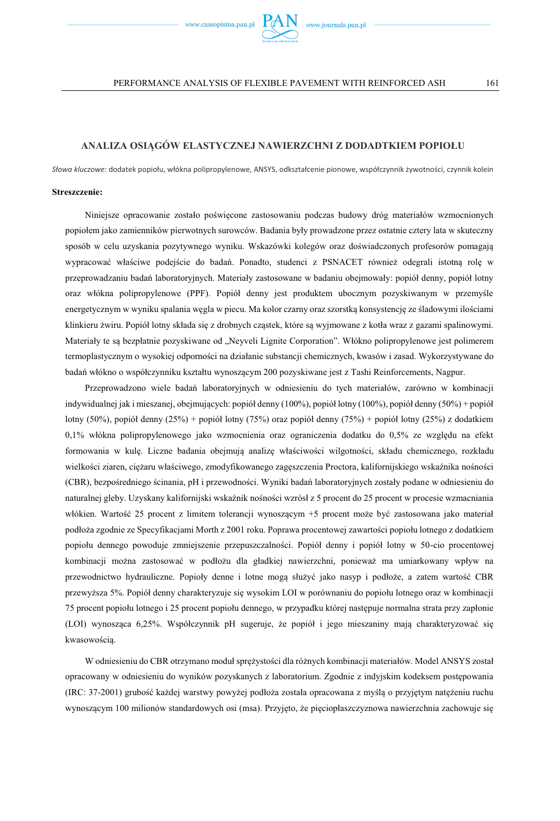

#### PERFORMANCE ANALYSIS OF FLEXIBLE PAVEMENT WITH REINFORCED ASH 161

#### **ANALIZA OSIĄGÓW ELASTYCZNEJ NAWIERZCHNI Z DODADTKIEM POPIOŁU**

*Słowa kluczowe:* dodatek popiołu, włókna polipropylenowe, ANSYS, odkształcenie pionowe, współczynnik żywotności, czynnik kolein

#### **Streszczenie:**

Niniejsze opracowanie zostało poświęcone zastosowaniu podczas budowy dróg materiałów wzmocnionych popiołem jako zamienników pierwotnych surowców. Badania były prowadzone przez ostatnie cztery lata w skuteczny sposób w celu uzyskania pozytywnego wyniku. Wskazówki kolegów oraz doświadczonych profesorów pomagają wypracować właściwe podejście do badań. Ponadto, studenci z PSNACET również odegrali istotną rolę w przeprowadzaniu badań laboratoryjnych. Materiały zastosowane w badaniu obejmowały: popiół denny, popiół lotny oraz włókna polipropylenowe (PPF). Popiół denny jest produktem ubocznym pozyskiwanym w przemyśle energetycznym w wyniku spalania węgla w piecu. Ma kolor czarny oraz szorstką konsystencję ze śladowymi ilościami klinkieru żwiru. Popiół lotny składa się z drobnych cząstek, które są wyjmowane z kotła wraz z gazami spalinowymi. Materiały te są bezpłatnie pozyskiwane od "Neyveli Lignite Corporation". Włókno polipropylenowe jest polimerem termoplastycznym o wysokiej odporności na działanie substancji chemicznych, kwasów i zasad. Wykorzystywane do badań włókno o współczynniku kształtu wynoszącym 200 pozyskiwane jest z Tashi Reinforcements, Nagpur.

Przeprowadzono wiele badań laboratoryjnych w odniesieniu do tych materiałów, zarówno w kombinacji indywidualnej jak i mieszanej, obejmujących: popiół denny (100%), popiół lotny (100%), popiół denny (50%) + popiół lotny (50%), popiół denny (25%) + popiół lotny (75%) oraz popiół denny (75%) + popiół lotny (25%) z dodatkiem 0,1% włókna polipropylenowego jako wzmocnienia oraz ograniczenia dodatku do 0,5% ze względu na efekt formowania w kulę. Liczne badania obejmują analizę właściwości wilgotności, składu chemicznego, rozkładu wielkości ziaren, ciężaru właściwego, zmodyfikowanego zagęszczenia Proctora, kalifornijskiego wskaźnika nośności (CBR), bezpośredniego ścinania, pH i przewodności. Wyniki badań laboratoryjnych zostały podane w odniesieniu do naturalnej gleby. Uzyskany kalifornijski wskaźnik nośności wzrósł z 5 procent do 25 procent w procesie wzmacniania włókien. Wartość 25 procent z limitem tolerancji wynoszącym +5 procent może być zastosowana jako materiał podłoża zgodnie ze Specyfikacjami Morth z 2001 roku. Poprawa procentowej zawartości popiołu lotnego z dodatkiem popiołu dennego powoduje zmniejszenie przepuszczalności. Popiół denny i popiół lotny w 50-cio procentowej kombinacji można zastosować w podłożu dla gładkiej nawierzchni, ponieważ ma umiarkowany wpływ na przewodnictwo hydrauliczne. Popioły denne i lotne mogą służyć jako nasyp i podłoże, a zatem wartość CBR przewyższa 5%. Popiół denny charakteryzuje się wysokim LOI w porównaniu do popiołu lotnego oraz w kombinacji 75 procent popiołu lotnego i 25 procent popiołu dennego, w przypadku której następuje normalna strata przy zapłonie (LOI) wynosząca 6,25%. Współczynnik pH sugeruje, że popiół i jego mieszaniny mają charakteryzować się kwasowością.

W odniesieniu do CBR otrzymano moduł sprężystości dla różnych kombinacji materiałów. Model ANSYS został opracowany w odniesieniu do wyników pozyskanych z laboratorium. Zgodnie z indyjskim kodeksem postępowania (IRC: 37-2001) grubość każdej warstwy powyżej podłoża została opracowana z myślą o przyjętym natężeniu ruchu wynoszącym 100 milionów standardowych osi (msa). Przyjęto, że pięciopłaszczyznowa nawierzchnia zachowuje się